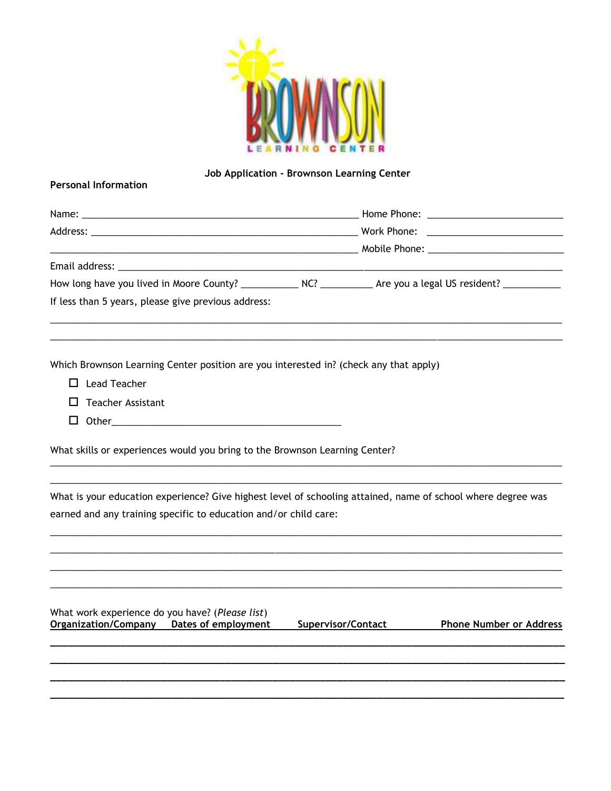

## Job Application - Brownson Learning Center

## **Personal Information**

| If less than 5 years, please give previous address: |  |
|-----------------------------------------------------|--|

Which Brownson Learning Center position are you interested in? (check any that apply)

- $\Box$  Lead Teacher
- $\Box$  Teacher Assistant
- $\Box$  Other  $\Box$

What skills or experiences would you bring to the Brownson Learning Center?

What is your education experience? Give highest level of schooling attained, name of school where degree was earned and any training specific to education and/or child care:

What work experience do you have? (Please list) Organization/Company Dates of employment

**Supervisor/Contact** 

**Phone Number or Address**